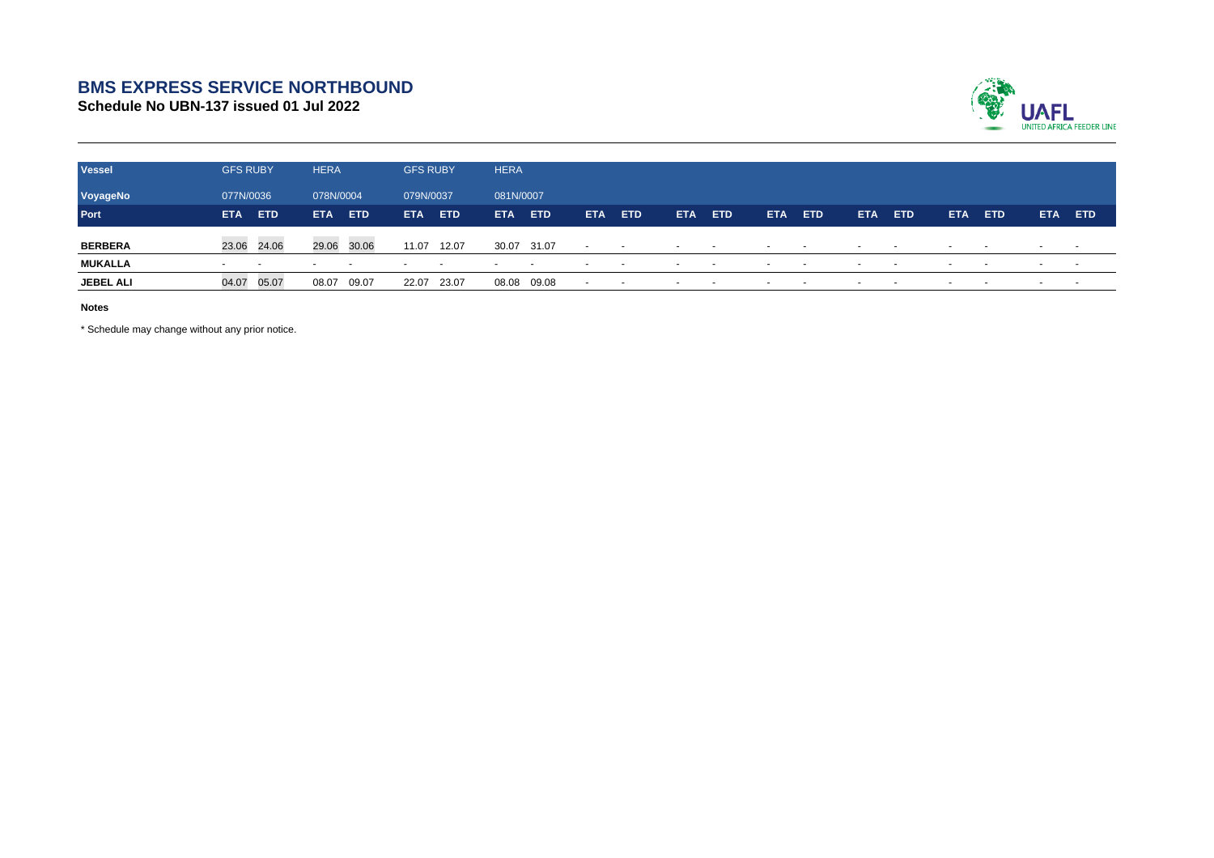## **BMS EXPRESS SERVICE NORTHBOUND**

**Schedule No UBN-137 issued 01 Jul 2022**



| <b>Vessel</b>    | <b>GFS RUBY</b>          |            | <b>HERA</b> |            | <b>GFS RUBY</b> |            | <b>HERA</b>              |            |                          |                          |        |            |                          |                |            |            |            |                          |                          |            |
|------------------|--------------------------|------------|-------------|------------|-----------------|------------|--------------------------|------------|--------------------------|--------------------------|--------|------------|--------------------------|----------------|------------|------------|------------|--------------------------|--------------------------|------------|
| VoyageNo         | 077N/0036                |            | 078N/0004   |            | 079N/0037       |            |                          | 081N/0007  |                          |                          |        |            |                          |                |            |            |            |                          |                          |            |
| Port             | <b>ETA</b>               | <b>ETD</b> | <b>ETA</b>  | <b>ETD</b> | <b>ETA</b>      | <b>ETD</b> | <b>ETA</b>               | <b>ETD</b> | <b>ETA</b>               | <b>ETD</b>               | ETA.   | <b>ETD</b> | ETA.                     | <b>ETD</b>     | <b>ETA</b> | <b>ETD</b> | <b>ETA</b> | ETD.                     | <b>ETA</b>               | <b>ETD</b> |
| <b>BERBERA</b>   | 23.06 24.06              |            | 29.06       | 30.06      | 11.07           | 12.07      | 30.07 31.07              |            | $\sim$                   | $\sim$                   | $\sim$ |            | $\sim$                   | <b>Service</b> | $\sim$     |            | $\sim$     | $\sim$                   | $\sim$                   | $\sim$     |
| <b>MUKALLA</b>   | $\overline{\phantom{0}}$ |            |             | $\sim$     |                 | $\sim$     | $\overline{\phantom{a}}$ | $\sim$     | $\overline{\phantom{a}}$ | $\sim$                   |        | $\sim$     | $\overline{\phantom{a}}$ |                |            | $\sim$     |            | $\overline{\phantom{a}}$ | $\overline{\phantom{a}}$ |            |
| <b>JEBEL ALI</b> | 04.07                    | 05.07      | 08.07       | 09.07      | 22.07           | 23.07      | 08.08                    | 09.08      | $\overline{\phantom{a}}$ | $\overline{\phantom{a}}$ |        |            |                          |                |            |            |            |                          | $\overline{\phantom{a}}$ |            |

**Notes**

\* Schedule may change without any prior notice.